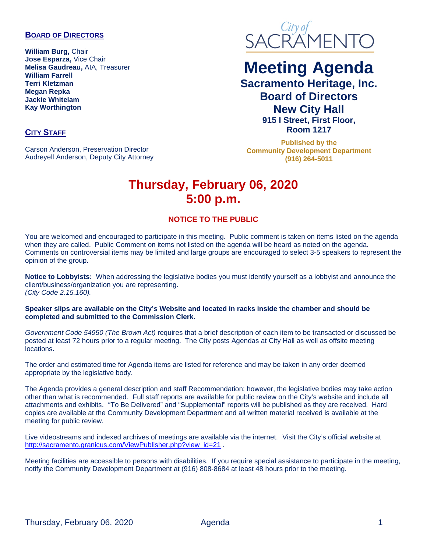#### **BOARD OF DIRECTORS**

**William Burg,** Chair **Jose Esparza,** Vice Chair **Melisa Gaudreau,** AIA, Treasurer **William Farrell Terri Kletzman Megan Repka Jackie Whitelam Kay Worthington**

# SACRAMENTO

## **Meeting Agenda Sacramento Heritage, Inc. Board of Directors**

**New City Hall 915 I Street, First Floor, Room 1217**

**Published by the Community Development Department (916) 264-5011**

# **Thursday, February 06, 2020 5:00 p.m.**

#### **NOTICE TO THE PUBLIC**

You are welcomed and encouraged to participate in this meeting. Public comment is taken on items listed on the agenda when they are called. Public Comment on items not listed on the agenda will be heard as noted on the agenda. Comments on controversial items may be limited and large groups are encouraged to select 3-5 speakers to represent the opinion of the group.

**Notice to Lobbyists:** When addressing the legislative bodies you must identify yourself as a lobbyist and announce the client/business/organization you are representing. *(City Code 2.15.160).*

**Speaker slips are available on the City's Website and located in racks inside the chamber and should be completed and submitted to the Commission Clerk.**

*Government Code 54950 (The Brown Act)* requires that a brief description of each item to be transacted or discussed be posted at least 72 hours prior to a regular meeting. The City posts Agendas at City Hall as well as offsite meeting locations.

The order and estimated time for Agenda items are listed for reference and may be taken in any order deemed appropriate by the legislative body.

The Agenda provides a general description and staff Recommendation; however, the legislative bodies may take action other than what is recommended. Full staff reports are available for public review on the City's website and include all attachments and exhibits. "To Be Delivered" and "Supplemental" reports will be published as they are received. Hard copies are available at the Community Development Department and all written material received is available at the meeting for public review.

Live videostreams and indexed archives of meetings are available via the internet. Visit the City's official website at [http://sacramento.granicus.com/ViewPublisher.php?view\\_id=21](http://sacramento.granicus.com/ViewPublisher.php?view_id=21).

Meeting facilities are accessible to persons with disabilities. If you require special assistance to participate in the meeting, notify the Community Development Department at (916) 808-8684 at least 48 hours prior to the meeting.

#### **CITY STAFF**

Carson Anderson, Preservation Director Audreyell Anderson, Deputy City Attorney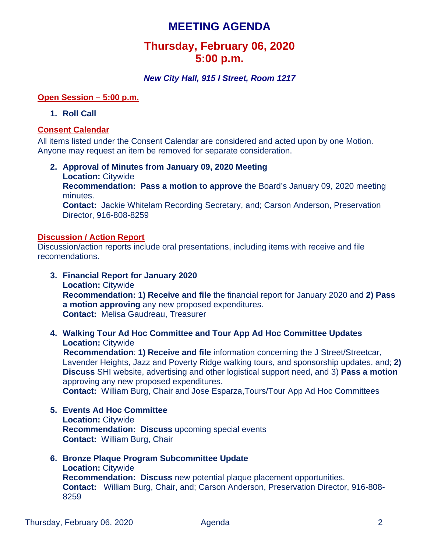### **MEETING AGENDA**

## **Thursday, February 06, 2020 5:00 p.m.**

#### *New City Hall, 915 I Street, Room 1217*

#### **Open Session – 5:00 p.m.**

#### **1. Roll Call**

#### **Consent Calendar**

All items listed under the Consent Calendar are considered and acted upon by one Motion. Anyone may request an item be removed for separate consideration.

**2. Approval of Minutes from January 09, 2020 Meeting Location:** Citywide **Recommendation: Pass a motion to approve** the Board's January 09, 2020 meeting minutes. **Contact:** Jackie Whitelam Recording Secretary, and; Carson Anderson, Preservation Director, 916-808-8259

#### **Discussion / Action Report**

Discussion/action reports include oral presentations, including items with receive and file recomendations.

- **3. Financial Report for January 2020 Location:** Citywide **Recommendation: 1) Receive and file** the financial report for January 2020 and **2) Pass a motion approving** any new proposed expenditures. **Contact:** Melisa Gaudreau, Treasurer
- **4. Walking Tour Ad Hoc Committee and Tour App Ad Hoc Committee Updates Location:** Citywide

**Recommendation**: **1) Receive and file** information concerning the J Street/Streetcar, Lavender Heights, Jazz and Poverty Ridge walking tours, and sponsorship updates, and; **2) Discuss** SHI website, advertising and other logistical support need, and 3) **Pass a motion** approving any new proposed expenditures.

**Contact:** William Burg, Chair and Jose Esparza,Tours/Tour App Ad Hoc Committees

- **5. Events Ad Hoc Committee Location:** Citywide **Recommendation: Discuss** upcoming special events **Contact:** William Burg, Chair
- **6. Bronze Plaque Program Subcommittee Update Location:** Citywide **Recommendation: Discuss** new potential plaque placement opportunities. **Contact:** William Burg, Chair, and; Carson Anderson, Preservation Director, 916-808- 8259